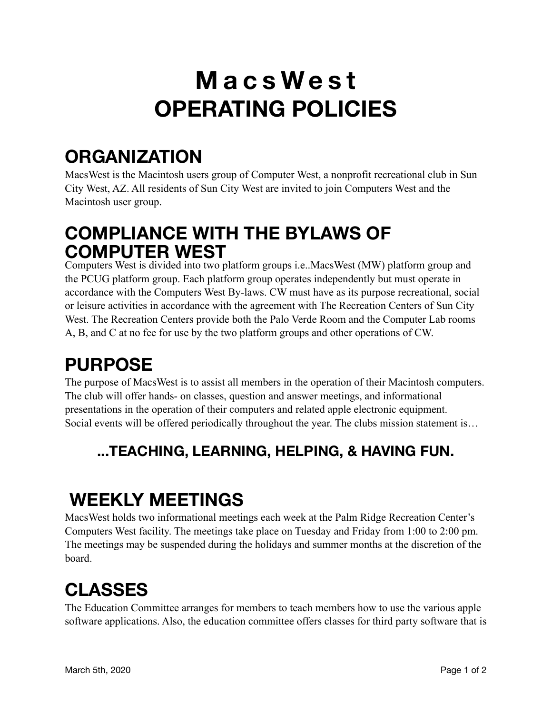# **MacsWest OPERATING POLICIES**

# **ORGANIZATION**

MacsWest is the Macintosh users group of Computer West, a nonprofit recreational club in Sun City West, AZ. All residents of Sun City West are invited to join Computers West and the Macintosh user group.

#### **COMPLIANCE WITH THE BYLAWS OF COMPUTER WEST**

Computers West is divided into two platform groups i.e..MacsWest (MW) platform group and the PCUG platform group. Each platform group operates independently but must operate in accordance with the Computers West By-laws. CW must have as its purpose recreational, social or leisure activities in accordance with the agreement with The Recreation Centers of Sun City West. The Recreation Centers provide both the Palo Verde Room and the Computer Lab rooms A, B, and C at no fee for use by the two platform groups and other operations of CW.

# **PURPOSE**

The purpose of MacsWest is to assist all members in the operation of their Macintosh computers. The club will offer hands- on classes, question and answer meetings, and informational presentations in the operation of their computers and related apple electronic equipment. Social events will be offered periodically throughout the year. The clubs mission statement is…

#### **...TEACHING, LEARNING, HELPING, & HAVING FUN.**

# **WEEKLY MEETINGS**

MacsWest holds two informational meetings each week at the Palm Ridge Recreation Center's Computers West facility. The meetings take place on Tuesday and Friday from 1:00 to 2:00 pm. The meetings may be suspended during the holidays and summer months at the discretion of the board.

# **CLASSES**

The Education Committee arranges for members to teach members how to use the various apple software applications. Also, the education committee offers classes for third party software that is